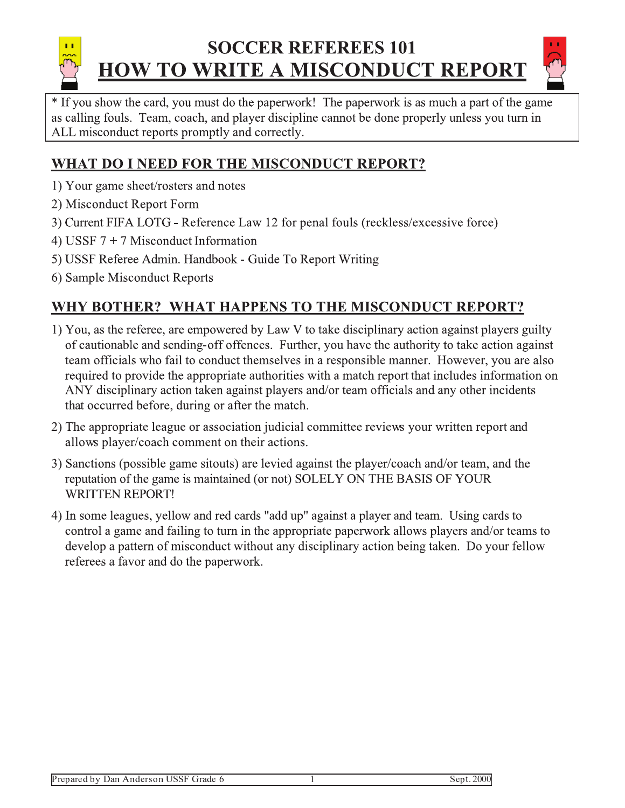# **SOCCER REFEREES 101 HOW TO WRITE A MISCONDUCT REPORT**



\* If you show the card, you must do the paperwork! The paperwork is as much a part of the game as calling fouls. Team, coach, and player discipline cannot be done properly unless you turn in ALL misconduct reports promptly and correctly.

### WHAT DO I NEED FOR THE MISCONDUCT REPORT?

- 1) Your game sheet/rosters and notes
- 2) Misconduct Report Form
- 3) Current FIFA LOTG Reference Law 12 for penal fouls (reckless/excessive force)
- 4) USSF  $7 + 7$  Misconduct Information
- 5) USSF Referee Admin. Handbook Guide To Report Writing
- 6) Sample Misconduct Reports

### WHY BOTHER? WHAT HAPPENS TO THE MISCONDUCT REPORT?

- 1) You, as the referee, are empowered by Law V to take disciplinary action against players guilty of cautionable and sending-off offences. Further, you have the authority to take action against team officials who fail to conduct themselves in a responsible manner. However, you are also required to provide the appropriate authorities with a match report that includes information on ANY disciplinary action taken against players and/or team officials and any other incidents that occurred before, during or after the match.
- 2) The appropriate league or association judicial committee reviews your written report and allows player/coach comment on their actions.
- 3) Sanctions (possible game sitouts) are levied against the player/coach and/or team, and the reputation of the game is maintained (or not) SOLELY ON THE BASIS OF YOUR **WRITTEN REPORT!**
- 4) In some leagues, yellow and red cards "add up" against a player and team. Using cards to control a game and failing to turn in the appropriate paperwork allows players and/or teams to develop a pattern of misconduct without any disciplinary action being taken. Do your fellow referees a favor and do the paperwork.

Sept. 2000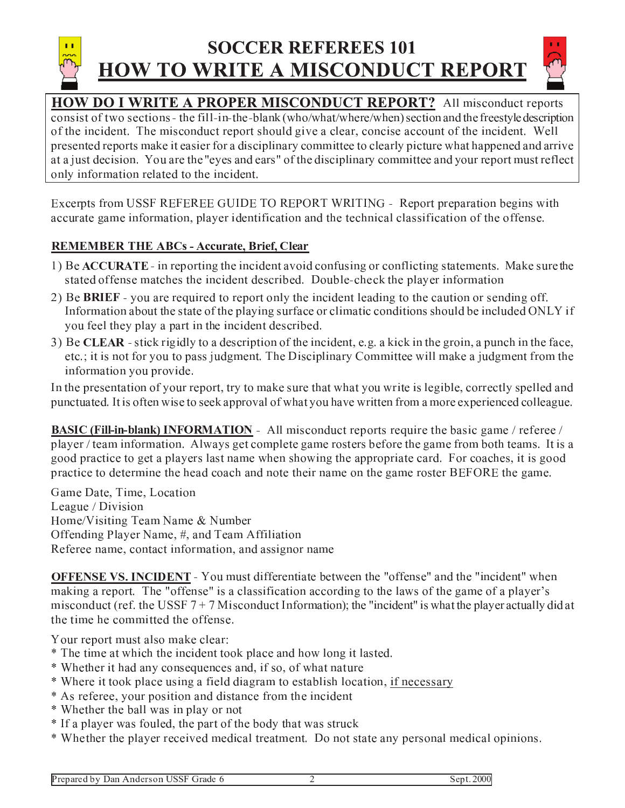

### **SOCCER REFEREES 101 HOW TO WRITE A MISCONDUCT REPORT**



**HOW DO I WRITE A PROPER MISCONDUCT REPORT?** All misconduct reports consist of two sections - the fill-in-the-blank (who/what/where/when) section and the freestyle description of the incident. The misconduct report should give a clear, concise account of the incident. Well presented reports make it easier for a disciplinary committee to clearly picture what happened and arrive at a just decision. You are the "eyes and ears" of the disciplinary committee and your report must reflect only information related to the incident.

Excerpts from USSF REFEREE GUIDE TO REPORT WRITING - Report preparation begins with accurate game information, player identification and the technical classification of the offense.

#### **REMEMBER THE ABCs - Accurate, Brief, Clear**

- 1) Be **ACCURATE** in reporting the incident avoid confusing or conflicting statements. Make sure the stated offense matches the incident described. Double-check the player information
- 2) Be BRIEF you are required to report only the incident leading to the caution or sending off. Information about the state of the playing surface or climatic conditions should be included ONLY if you feel they play a part in the incident described.
- 3) Be CLEAR stick rigidly to a description of the incident, e.g. a kick in the groin, a punch in the face, etc.; it is not for you to pass judgment. The Disciplinary Committee will make a judgment from the information you provide.

In the presentation of your report, try to make sure that what you write is legible, correctly spelled and punctuated. It is often wise to seek approval of what you have written from a more experienced colleague.

**BASIC (Fill-in-blank) INFORMATION** - All misconduct reports require the basic game / referee / player / team information. Always get complete game rosters before the game from both teams. It is a good practice to get a players last name when showing the appropriate card. For coaches, it is good practice to determine the head coach and note their name on the game roster BEFORE the game.

Game Date, Time, Location League / Division Home/Visiting Team Name & Number Offending Player Name, #, and Team Affiliation Referee name, contact information, and assignor name

**OFFENSE VS. INCIDENT** - You must differentiate between the "offense" and the "incident" when making a report. The "offense" is a classification according to the laws of the game of a player's misconduct (ref. the USSF  $7 + 7$  Misconduct Information); the "incident" is what the player actually did at the time he committed the offense.

Your report must also make clear:

- \* The time at which the incident took place and how long it lasted.
- \* Whether it had any consequences and, if so, of what nature
- \* Where it took place using a field diagram to establish location, if necessary
- \* As referee, your position and distance from the incident
- \* Whether the ball was in play or not
- \* If a player was fouled, the part of the body that was struck
- \* Whether the player received medical treatment. Do not state any personal medical opinions.

 $\overline{2}$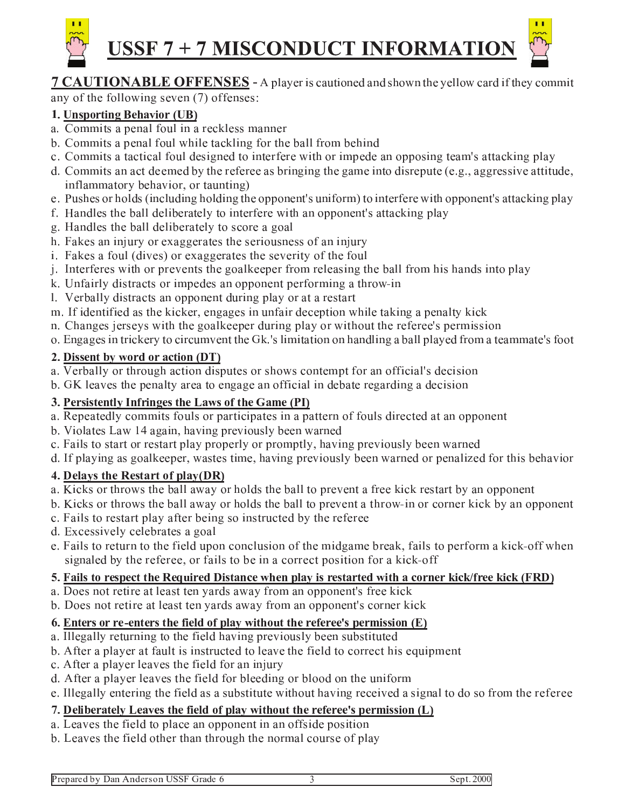

## USSF 7 + 7 MISCONDUCT INFORMATION



#### **7 CAUTIONABLE OFFENSES** - A player is cautioned and shown the yellow card if they commit any of the following seven (7) offenses:

#### 1. Unsporting Behavior (UB)

- a. Commits a penal foul in a reckless manner
- b. Commits a penal foul while tackling for the ball from behind
- c. Commits a tactical foul designed to interfere with or impede an opposing team's attacking play
- d. Commits an act deemed by the referee as bringing the game into disrepute (e.g., aggressive attitude, inflammatory behavior, or taunting)
- e. Pushes or holds (including holding the opponent's uniform) to interfere with opponent's attacking play
- f. Handles the ball deliberately to interfere with an opponent's attacking play
- g. Handles the ball deliberately to score a goal
- h. Fakes an injury or exaggerates the seriousness of an injury
- i. Fakes a foul (dives) or exaggerates the severity of the foul
- j. Interferes with or prevents the goalkeeper from releasing the ball from his hands into play
- k. Unfairly distracts or impedes an opponent performing a throw-in
- 1. Verbally distracts an opponent during play or at a restart
- m. If identified as the kicker, engages in unfair deception while taking a penalty kick
- n. Changes jerseys with the goalkeeper during play or without the referee's permission
- o. Engages in trickery to circumvent the Gk.'s limitation on handling a ball played from a teammate's foot

#### 2. Dissent by word or action (DT)

- a. Verbally or through action disputes or shows contempt for an official's decision
- b. GK leaves the penalty area to engage an official in debate regarding a decision

#### 3. Persistently Infringes the Laws of the Game (PI)

- a. Repeatedly commits fouls or participates in a pattern of fouls directed at an opponent
- b. Violates Law 14 again, having previously been warned
- c. Fails to start or restart play properly or promptly, having previously been warned
- d. If playing as goalkeeper, wastes time, having previously been warned or penalized for this behavior

#### 4. Delays the Restart of play(DR)

- a. Kicks or throws the ball away or holds the ball to prevent a free kick restart by an opponent
- b. Kicks or throws the ball away or holds the ball to prevent a throw-in or corner kick by an opponent
- c. Fails to restart play after being so instructed by the referee
- d. Excessively celebrates a goal
- e. Fails to return to the field upon conclusion of the midgame break, fails to perform a kick-off when signaled by the referee, or fails to be in a correct position for a kick-off

#### 5. Fails to respect the Required Distance when play is restarted with a corner kick/free kick (FRD)

- a. Does not retire at least ten yards away from an opponent's free kick
- b. Does not retire at least ten yards away from an opponent's corner kick

#### 6. Enters or re-enters the field of play without the referee's permission (E)

- a. Illegally returning to the field having previously been substituted
- b. After a player at fault is instructed to leave the field to correct his equipment
- c. After a player leaves the field for an injury
- d. After a player leaves the field for bleeding or blood on the uniform
- e. Illegally entering the field as a substitute without having received a signal to do so from the referee

#### 7. Deliberately Leaves the field of play without the referee's permission (L)

- a. Leaves the field to place an opponent in an offside position
- b. Leaves the field other than through the normal course of play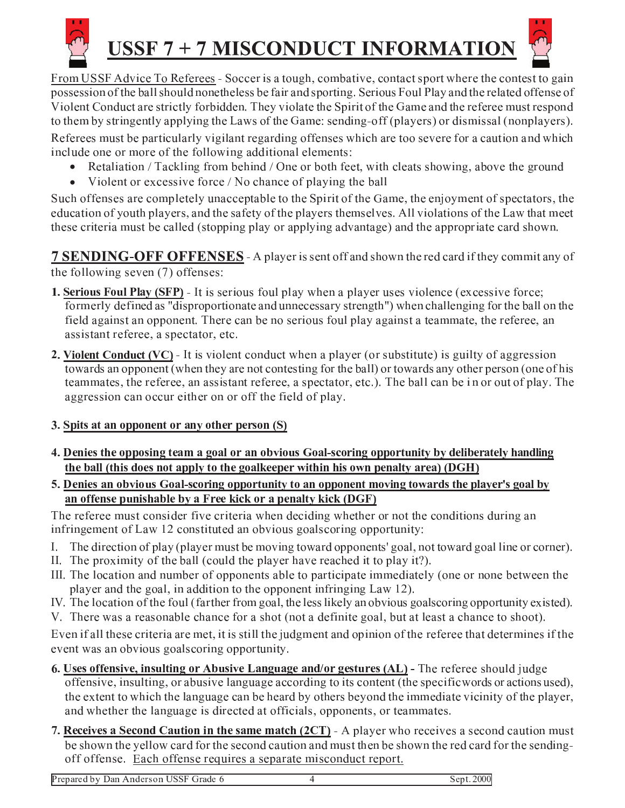

# USSF 7 + 7 MISCONDUCT INFORMATION



From USSF Advice To Referees - Soccer is a tough, combative, contact sport where the contest to gain possession of the ball should nonetheless be fair and sporting. Serious Foul Play and the related offense of Violent Conduct are strictly forbidden. They violate the Spirit of the Game and the referee must respond to them by stringently applying the Laws of the Game: sending-off (players) or dismissal (nonplayers).

Referees must be particularly vigilant regarding offenses which are too severe for a caution and which include one or more of the following additional elements:

- Retaliation / Tackling from behind / One or both feet, with cleats showing, above the ground  $\bullet$
- Violent or excessive force / No chance of playing the ball  $\bullet$

Such offenses are completely unacceptable to the Spirit of the Game, the enjoyment of spectators, the education of youth players, and the safety of the players themselves. All violations of the Law that meet these criteria must be called (stopping play or applying advantage) and the appropriate card shown.

**7 SENDING-OFF OFFENSES** - A player is sent off and shown the red card if they commit any of the following seven (7) offenses:

- **1. Serious Foul Play (SFP)** It is serious foul play when a player uses violence (excessive force; formerly defined as "disproportionate and unnecessary strength") when challenging for the ball on the field against an opponent. There can be no serious foul play against a teammate, the referee, an assistant referee, a spectator, etc.
- 2. Violent Conduct  $(VC)$  It is violent conduct when a player (or substitute) is guilty of aggression towards an opponent (when they are not contesting for the ball) or towards any other person (one of his teammates, the referee, an assistant referee, a spectator, etc.). The ball can be in or out of play. The aggression can occur either on or off the field of play.

#### 3. Spits at an opponent or any other person (S)

- 4. Denies the opposing team a goal or an obvious Goal-scoring opportunity by deliberately handling the ball (this does not apply to the goalkeeper within his own penalty area) (DGH)
- 5. Denies an obvious Goal-scoring opportunity to an opponent moving towards the player's goal by an offense punishable by a Free kick or a penalty kick (DGF)

The referee must consider five criteria when deciding whether or not the conditions during an infringement of Law 12 constituted an obvious goalscoring opportunity:

- $\mathbf{L}$ The direction of play (player must be moving toward opponents' goal, not toward goal line or corner).
- II. The proximity of the ball (could the player have reached it to play it?).
- III. The location and number of opponents able to participate immediately (one or none between the player and the goal, in addition to the opponent infringing Law 12).
- IV. The location of the foul (farther from goal, the less likely an obvious goalscoring opportunity existed).
- V. There was a reasonable chance for a shot (not a definite goal, but at least a chance to shoot).

Even if all these criteria are met, it is still the judgment and opinion of the referee that determines if the event was an obvious goalscoring opportunity.

- 6. Uses offensive, insulting or Abusive Language and/or gestures (AL) The referee should judge offensive, insulting, or abusive language according to its content (the specific words or actions used), the extent to which the language can be heard by others beyond the immediate vicinity of the player, and whether the language is directed at officials, opponents, or teammates.
- 7. Receives a Second Caution in the same match (2CT) A player who receives a second caution must be shown the yellow card for the second caution and must then be shown the red card for the sendingoff offense. Each offense requires a separate misconduct report.

Prepared by Dan Anderson USSF Grade 6